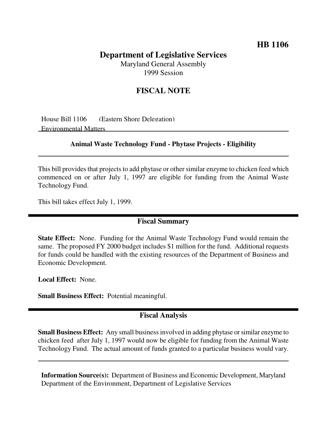## **HB 1106**

# **Department of Legislative Services**

Maryland General Assembly 1999 Session

## **FISCAL NOTE**

House Bill 1106 (Eastern Shore Delegation) Environmental Matters

#### **Animal Waste Technology Fund - Phytase Projects - Eligibility**

This bill provides that projects to add phytase or other similar enzyme to chicken feed which commenced on or after July 1, 1997 are eligible for funding from the Animal Waste Technology Fund.

This bill takes effect July 1, 1999.

#### **Fiscal Summary**

**State Effect:** None. Funding for the Animal Waste Technology Fund would remain the same. The proposed FY 2000 budget includes \$1 million for the fund. Additional requests for funds could be handled with the existing resources of the Department of Business and Economic Development.

**Local Effect:** None.

**Small Business Effect:** Potential meaningful.

## **Fiscal Analysis**

**Small Business Effect:** Any small business involved in adding phytase or similar enzyme to chicken feed after July 1, 1997 would now be eligible for funding from the Animal Waste Technology Fund. The actual amount of funds granted to a particular business would vary.

**Information Source(s):** Department of Business and Economic Development, Maryland Department of the Environment, Department of Legislative Services